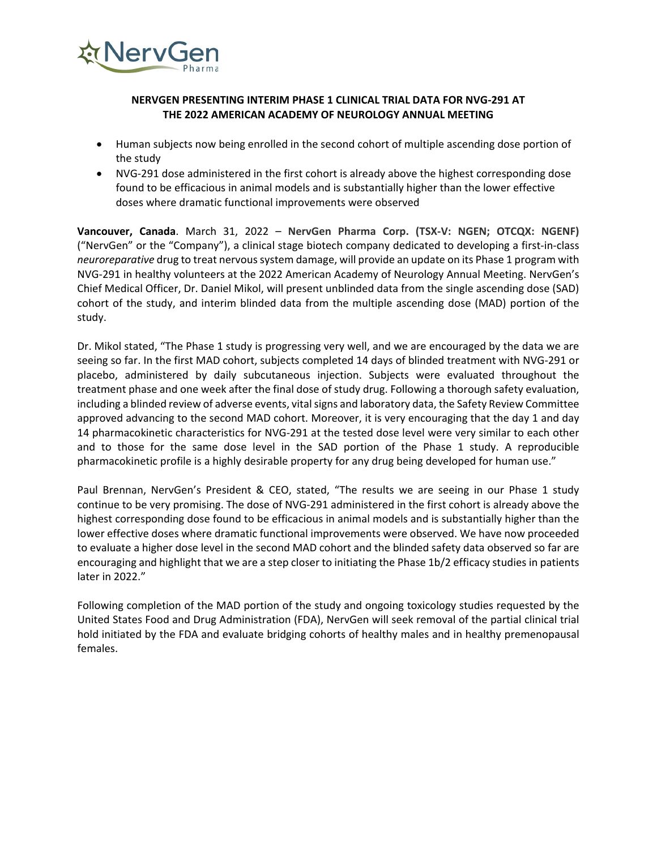

## **NERVGEN PRESENTING INTERIM PHASE 1 CLINICAL TRIAL DATA FOR NVG-291 AT THE 2022 AMERICAN ACADEMY OF NEUROLOGY ANNUAL MEETING**

- Human subjects now being enrolled in the second cohort of multiple ascending dose portion of the study
- NVG-291 dose administered in the first cohort is already above the highest corresponding dose found to be efficacious in animal models and is substantially higher than the lower effective doses where dramatic functional improvements were observed

**Vancouver, Canada**. March 31, 2022 – **NervGen Pharma Corp. (TSX-V: NGEN; OTCQX: NGENF)**  ("NervGen" or the "Company"), a clinical stage biotech company dedicated to developing a first-in-class *neuroreparative* drug to treat nervous system damage, will provide an update on its Phase 1 program with NVG-291 in healthy volunteers at the 2022 American Academy of Neurology Annual Meeting. NervGen's Chief Medical Officer, Dr. Daniel Mikol, will present unblinded data from the single ascending dose (SAD) cohort of the study, and interim blinded data from the multiple ascending dose (MAD) portion of the study.

Dr. Mikol stated, "The Phase 1 study is progressing very well, and we are encouraged by the data we are seeing so far. In the first MAD cohort, subjects completed 14 days of blinded treatment with NVG-291 or placebo, administered by daily subcutaneous injection. Subjects were evaluated throughout the treatment phase and one week after the final dose of study drug. Following a thorough safety evaluation, including a blinded review of adverse events, vital signs and laboratory data, the Safety Review Committee approved advancing to the second MAD cohort. Moreover, it is very encouraging that the day 1 and day 14 pharmacokinetic characteristics for NVG-291 at the tested dose level were very similar to each other and to those for the same dose level in the SAD portion of the Phase 1 study. A reproducible pharmacokinetic profile is a highly desirable property for any drug being developed for human use."

Paul Brennan, NervGen's President & CEO, stated, "The results we are seeing in our Phase 1 study continue to be very promising. The dose of NVG-291 administered in the first cohort is already above the highest corresponding dose found to be efficacious in animal models and is substantially higher than the lower effective doses where dramatic functional improvements were observed. We have now proceeded to evaluate a higher dose level in the second MAD cohort and the blinded safety data observed so far are encouraging and highlight that we are a step closer to initiating the Phase 1b/2 efficacy studies in patients later in 2022."

Following completion of the MAD portion of the study and ongoing toxicology studies requested by the United States Food and Drug Administration (FDA), NervGen will seek removal of the partial clinical trial hold initiated by the FDA and evaluate bridging cohorts of healthy males and in healthy premenopausal females.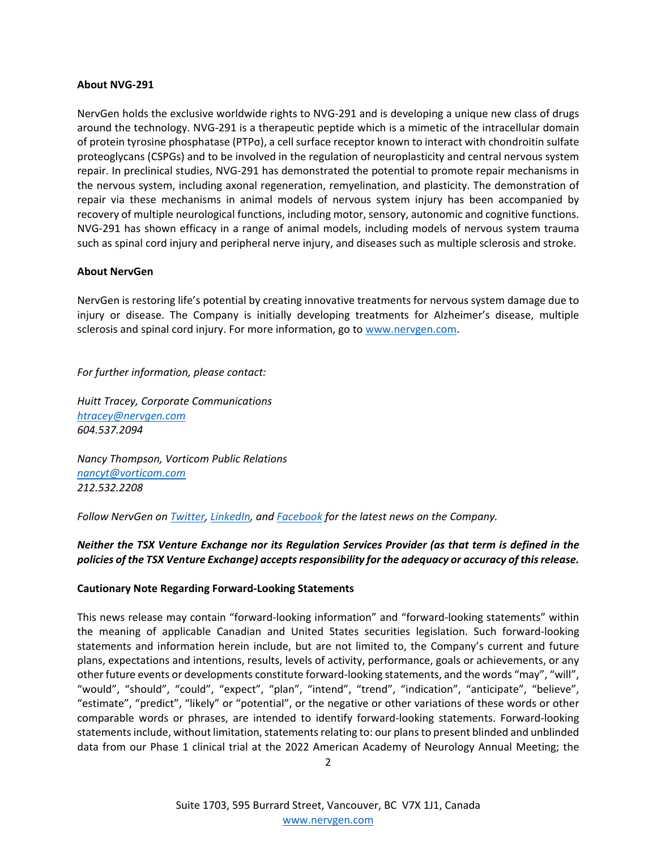#### **About NVG-291**

NervGen holds the exclusive worldwide rights to NVG-291 and is developing a unique new class of drugs around the technology. NVG-291 is a therapeutic peptide which is a mimetic of the intracellular domain of protein tyrosine phosphatase (PTPσ), a cell surface receptor known to interact with chondroitin sulfate proteoglycans (CSPGs) and to be involved in the regulation of neuroplasticity and central nervous system repair. In preclinical studies, NVG-291 has demonstrated the potential to promote repair mechanisms in the nervous system, including axonal regeneration, remyelination, and plasticity. The demonstration of repair via these mechanisms in animal models of nervous system injury has been accompanied by recovery of multiple neurological functions, including motor, sensory, autonomic and cognitive functions. NVG-291 has shown efficacy in a range of animal models, including models of nervous system trauma such as spinal cord injury and peripheral nerve injury, and diseases such as multiple sclerosis and stroke.

### **About NervGen**

NervGen is restoring life's potential by creating innovative treatments for nervous system damage due to injury or disease. The Company is initially developing treatments for Alzheimer's disease, multiple sclerosis and spinal cord injury. For more information, go to [www.nervgen.com.](http://www.nervgen.com/)

*For further information, please contact:* 

*Huitt Tracey, Corporate Communications [htracey@nervgen.com](mailto:htracey@nervgen.com)  604.537.2094* 

*Nancy Thompson, Vorticom Public Relations [nancyt@vorticom.com](mailto:nancyt@vorticom.com) 212.532.2208*

*Follow NervGen on [Twitter,](https://twitter.com/NervgenP) [LinkedIn,](https://www.linkedin.com/company/nervgen) and [Facebook](https://www.facebook.com/nervgen) for the latest news on the Company.*

# *Neither the TSX Venture Exchange nor its Regulation Services Provider (as that term is defined in the policies of the TSX Venture Exchange) accepts responsibility for the adequacy or accuracy of this release.*

#### **Cautionary Note Regarding Forward-Looking Statements**

This news release may contain "forward-looking information" and "forward-looking statements" within the meaning of applicable Canadian and United States securities legislation. Such forward-looking statements and information herein include, but are not limited to, the Company's current and future plans, expectations and intentions, results, levels of activity, performance, goals or achievements, or any other future events or developments constitute forward-looking statements, and the words "may", "will", "would", "should", "could", "expect", "plan", "intend", "trend", "indication", "anticipate", "believe", "estimate", "predict", "likely" or "potential", or the negative or other variations of these words or other comparable words or phrases, are intended to identify forward-looking statements. Forward-looking statements include, without limitation, statements relating to: our plans to present blinded and unblinded data from our Phase 1 clinical trial at the 2022 American Academy of Neurology Annual Meeting; the